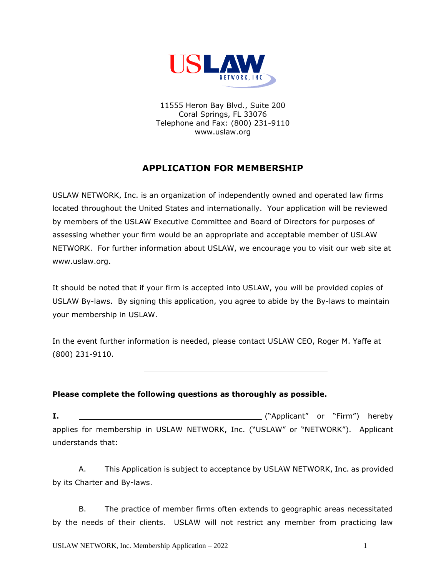

11555 Heron Bay Blvd., Suite 200 Coral Springs, FL 33076 Telephone and Fax: (800) 231-9110 www.uslaw.org

# **APPLICATION FOR MEMBERSHIP**

USLAW NETWORK, Inc. is an organization of independently owned and operated law firms located throughout the United States and internationally. Your application will be reviewed by members of the USLAW Executive Committee and Board of Directors for purposes of assessing whether your firm would be an appropriate and acceptable member of USLAW NETWORK. For further information about USLAW, we encourage you to visit our web site at [www.uslaw.org.](http://www.uslawnetwork.org/)

It should be noted that if your firm is accepted into USLAW, you will be provided copies of USLAW By-laws. By signing this application, you agree to abide by the By-laws to maintain your membership in USLAW.

In the event further information is needed, please contact USLAW CEO, Roger M. Yaffe at (800) 231-9110.

## **Please complete the following questions as thoroughly as possible.**

**I.** ("Applicant" or "Firm") hereby applies for membership in USLAW NETWORK, Inc. ("USLAW" or "NETWORK"). Applicant understands that:

A. This Application is subject to acceptance by USLAW NETWORK, Inc. as provided by its Charter and By-laws.

B. The practice of member firms often extends to geographic areas necessitated by the needs of their clients. USLAW will not restrict any member from practicing law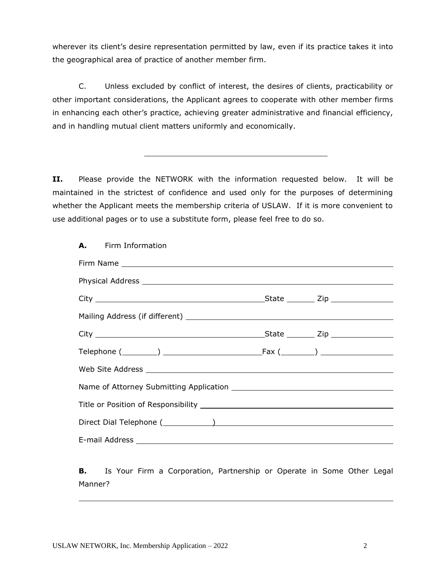wherever its client's desire representation permitted by law, even if its practice takes it into the geographical area of practice of another member firm.

C. Unless excluded by conflict of interest, the desires of clients, practicability or other important considerations, the Applicant agrees to cooperate with other member firms in enhancing each other's practice, achieving greater administrative and financial efficiency, and in handling mutual client matters uniformly and economically.

**II.** Please provide the NETWORK with the information requested below. It will be maintained in the strictest of confidence and used only for the purposes of determining whether the Applicant meets the membership criteria of USLAW. If it is more convenient to use additional pages or to use a substitute form, please feel free to do so.

**A.** Firm Information

**B.** Is Your Firm a Corporation, Partnership or Operate in Some Other Legal Manner?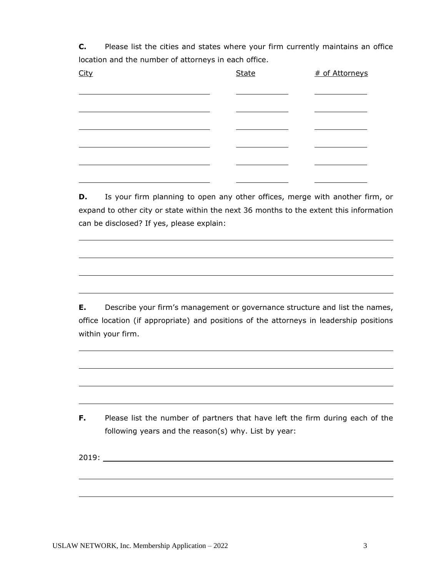**C.** Please list the cities and states where your firm currently maintains an office location and the number of attorneys in each office.

| <u>City</u> | <b>State</b> | # of Attorneys |
|-------------|--------------|----------------|
|             |              |                |
|             |              |                |
|             |              |                |
|             |              |                |
|             |              |                |

**D.** Is your firm planning to open any other offices, merge with another firm, or expand to other city or state within the next 36 months to the extent this information can be disclosed? If yes, please explain:

**E.** Describe your firm's management or governance structure and list the names, office location (if appropriate) and positions of the attorneys in leadership positions within your firm.

**F.** Please list the number of partners that have left the firm during each of the following years and the reason(s) why. List by year:

2019: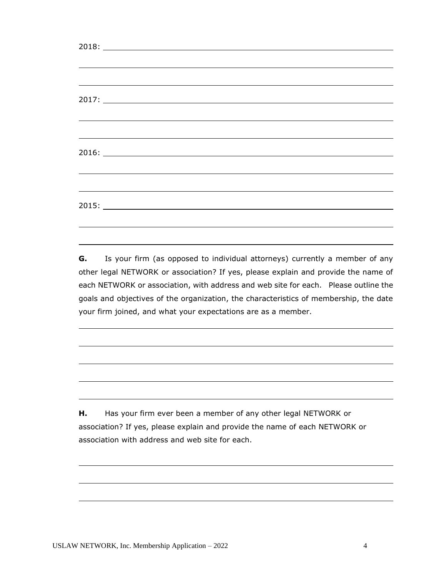|  | ,我们也不会有什么。""我们的人,我们也不会有什么?""我们的人,我们也不会有什么?""我们的人,我们也不会有什么?""我们的人,我们也不会有什么?""我们的人                                      |  |  |
|--|-----------------------------------------------------------------------------------------------------------------------|--|--|
|  |                                                                                                                       |  |  |
|  |                                                                                                                       |  |  |
|  | <u> 1989 - Johann Stoff, deutscher Stoffen und der Stoffen und der Stoffen und der Stoffen und der Stoffen und de</u> |  |  |
|  | <u> 1989 - Johann Stoff, deutscher Stoff, der Stoff, der Stoff, der Stoff, der Stoff, der Stoff, der Stoff, der S</u> |  |  |
|  |                                                                                                                       |  |  |
|  |                                                                                                                       |  |  |
|  |                                                                                                                       |  |  |

**G.** Is your firm (as opposed to individual attorneys) currently a member of any other legal NETWORK or association? If yes, please explain and provide the name of each NETWORK or association, with address and web site for each. Please outline the goals and objectives of the organization, the characteristics of membership, the date your firm joined, and what your expectations are as a member.

**H.** Has your firm ever been a member of any other legal NETWORK or association? If yes, please explain and provide the name of each NETWORK or association with address and web site for each.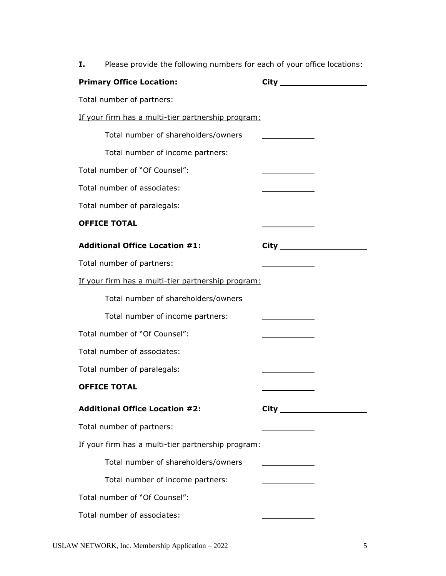Primary Office Location: City City Total number of partners: If your firm has a multi-tier partnership program: Total number of shareholders/owners Total number of income partners: Total number of "Of Counsel": Total number of associates: Total number of paralegals: **OFFICE TOTAL** Additional Office Location #1: City \_\_\_\_\_\_\_\_\_\_\_ Total number of partners: If your firm has a multi-tier partnership program: Total number of shareholders/owners Total number of income partners: Total number of "Of Counsel": Total number of associates: Total number of paralegals: **OFFICE TOTAL Additional Office Location #2: City**  Total number of partners: If your firm has a multi-tier partnership program: Total number of shareholders/owners Total number of income partners: Total number of "Of Counsel": Total number of associates:

**I.** Please provide the following numbers for each of your office locations: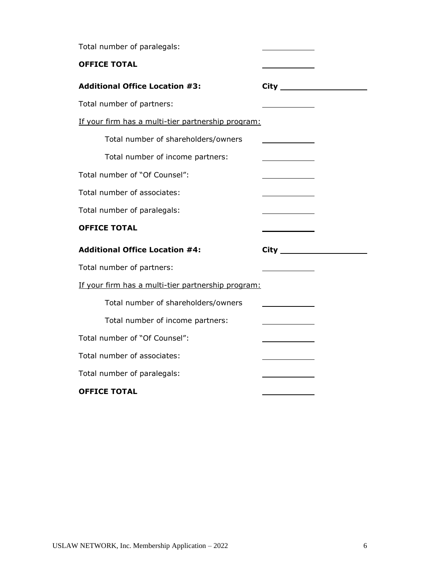Total number of paralegals: **OFFICE TOTAL Additional Office Location #3: City**  Total number of partners: If your firm has a multi-tier partnership program: Total number of shareholders/owners <u> 1989 - Johann Barbara, martin e</u> Total number of income partners: Total number of "Of Counsel": Total number of associates: Total number of paralegals: **OFFICE TOTAL Additional Office Location #4: City**  Total number of partners: If your firm has a multi-tier partnership program: Total number of shareholders/owners <u> 1980 - Johann Barnett, fransk konge</u> Total number of income partners: Total number of "Of Counsel": Total number of associates: Total number of paralegals: **OFFICE TOTAL**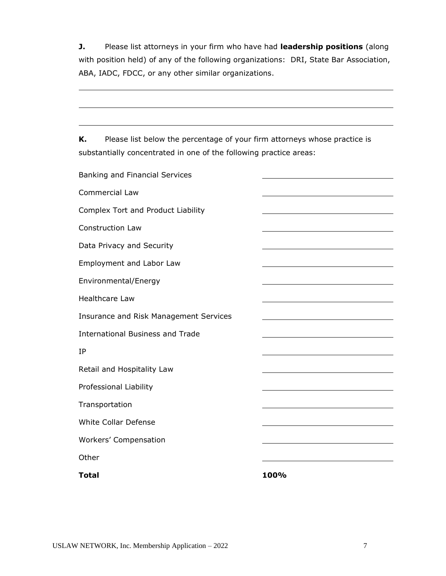**J.** Please list attorneys in your firm who have had **leadership positions** (along with position held) of any of the following organizations: DRI, State Bar Association, ABA, IADC, FDCC, or any other similar organizations.

**K.** Please list below the percentage of your firm attorneys whose practice is substantially concentrated in one of the following practice areas:

| Banking and Financial Services          |      |
|-----------------------------------------|------|
| <b>Commercial Law</b>                   |      |
| Complex Tort and Product Liability      |      |
| <b>Construction Law</b>                 |      |
| Data Privacy and Security               |      |
| Employment and Labor Law                |      |
| Environmental/Energy                    |      |
| <b>Healthcare Law</b>                   |      |
| Insurance and Risk Management Services  |      |
| <b>International Business and Trade</b> |      |
| IP                                      |      |
| Retail and Hospitality Law              |      |
| Professional Liability                  |      |
| Transportation                          |      |
| <b>White Collar Defense</b>             |      |
| Workers' Compensation                   |      |
| Other                                   |      |
| <b>Total</b>                            | 100% |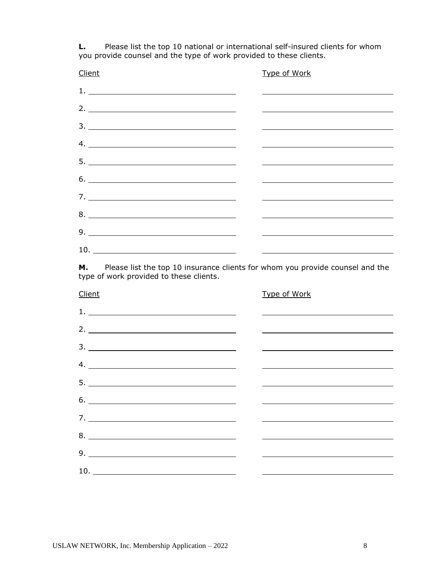**L.** Please list the top 10 national or international self-insured clients for whom you provide counsel and the type of work provided to these clients.

| Client                                                                                                                                                                                                                                                                                                                                                                                                                            | Type of Work |
|-----------------------------------------------------------------------------------------------------------------------------------------------------------------------------------------------------------------------------------------------------------------------------------------------------------------------------------------------------------------------------------------------------------------------------------|--------------|
| $\begin{tabular}{ c c c c } \hline \multicolumn{3}{ c }{\textbf{1.}} & \multicolumn{3}{ c }{\textbf{2.}} & \multicolumn{3}{ c }{\textbf{3.}} & \multicolumn{3}{ c }{\textbf{4.}} & \multicolumn{3}{ c }{\textbf{5.}} & \multicolumn{3}{ c }{\textbf{6.}} & \multicolumn{3}{ c }{\textbf{7.}} & \multicolumn{3}{ c }{\textbf{8.}} & \multicolumn{3}{ c }{\textbf{9.}} & \multicolumn{3}{ c }{\textbf{1.}} & \multicolumn{3}{ c }{$ |              |
| 2. $\overline{\phantom{a}}$                                                                                                                                                                                                                                                                                                                                                                                                       |              |
| $\begin{array}{c}\n3. \quad \textcolor{blue}{\textbf{12.12}}\n\end{array}$                                                                                                                                                                                                                                                                                                                                                        |              |
|                                                                                                                                                                                                                                                                                                                                                                                                                                   |              |
| $5. \_$                                                                                                                                                                                                                                                                                                                                                                                                                           |              |
|                                                                                                                                                                                                                                                                                                                                                                                                                                   |              |
|                                                                                                                                                                                                                                                                                                                                                                                                                                   |              |
|                                                                                                                                                                                                                                                                                                                                                                                                                                   |              |
|                                                                                                                                                                                                                                                                                                                                                                                                                                   |              |
|                                                                                                                                                                                                                                                                                                                                                                                                                                   |              |
| 10.<br><u> 1989 - Andrea Andrew Maria (b. 1989)</u>                                                                                                                                                                                                                                                                                                                                                                               |              |

**M.** Please list the top 10 insurance clients for whom you provide counsel and the type of work provided to these clients.

| Client                                                                                                                                                                                                                                                                                                                                                                                                                            | Type of Work                                                                                                                                                                                                                  |
|-----------------------------------------------------------------------------------------------------------------------------------------------------------------------------------------------------------------------------------------------------------------------------------------------------------------------------------------------------------------------------------------------------------------------------------|-------------------------------------------------------------------------------------------------------------------------------------------------------------------------------------------------------------------------------|
| $\begin{tabular}{ c c c c } \hline \multicolumn{3}{ c }{\textbf{1.}} & \multicolumn{3}{ c }{\textbf{2.}} & \multicolumn{3}{ c }{\textbf{3.}} & \multicolumn{3}{ c }{\textbf{4.}} & \multicolumn{3}{ c }{\textbf{5.}} & \multicolumn{3}{ c }{\textbf{6.}} & \multicolumn{3}{ c }{\textbf{7.}} & \multicolumn{3}{ c }{\textbf{8.}} & \multicolumn{3}{ c }{\textbf{9.}} & \multicolumn{3}{ c }{\textbf{1.}} & \multicolumn{3}{ c }{$ |                                                                                                                                                                                                                               |
| $2.$ $\overline{\phantom{a}}$                                                                                                                                                                                                                                                                                                                                                                                                     |                                                                                                                                                                                                                               |
|                                                                                                                                                                                                                                                                                                                                                                                                                                   |                                                                                                                                                                                                                               |
| 4.                                                                                                                                                                                                                                                                                                                                                                                                                                | the control of the control of the control of the control of the control of the control of the control of the control of the control of the control of the control of the control of the control of the control of the control |
|                                                                                                                                                                                                                                                                                                                                                                                                                                   |                                                                                                                                                                                                                               |
|                                                                                                                                                                                                                                                                                                                                                                                                                                   |                                                                                                                                                                                                                               |
|                                                                                                                                                                                                                                                                                                                                                                                                                                   |                                                                                                                                                                                                                               |
|                                                                                                                                                                                                                                                                                                                                                                                                                                   |                                                                                                                                                                                                                               |
|                                                                                                                                                                                                                                                                                                                                                                                                                                   | <u> 1989 - Andrea Barbara, Amerikaansk politiker (d. 1989)</u>                                                                                                                                                                |
|                                                                                                                                                                                                                                                                                                                                                                                                                                   |                                                                                                                                                                                                                               |
|                                                                                                                                                                                                                                                                                                                                                                                                                                   |                                                                                                                                                                                                                               |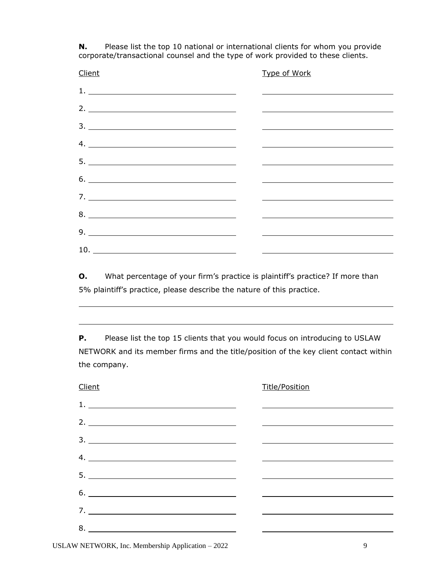**N.** Please list the top 10 national or international clients for whom you provide corporate/transactional counsel and the type of work provided to these clients.

| Client                                                                                                                                                                                                                                                                                                                                                                                                                           | Type of Work |
|----------------------------------------------------------------------------------------------------------------------------------------------------------------------------------------------------------------------------------------------------------------------------------------------------------------------------------------------------------------------------------------------------------------------------------|--------------|
| $\begin{tabular}{ c c c c } \hline $1$, & $\hspace{0.5cm}$ & $\hspace{0.5cm}$ & $\hspace{0.5cm}$ & $\hspace{0.5cm}$ & $\hspace{0.5cm}$ & $\hspace{0.5cm}$ & $\hspace{0.5cm}$ & $\hspace{0.5cm}$ & $\hspace{0.5cm}$ & $\hspace{0.5cm}$ & $\hspace{0.5cm}$ & $\hspace{0.5cm}$ & $\hspace{0.5cm}$ & $\hspace{0.5cm}$ & $\hspace{0.5cm}$ & $\hspace{0.5cm}$ & $\hspace{0.5cm}$ & $\hspace{0.5cm}$ & $\hspace{0.5cm}$ & $\hspace{0.5$ |              |
| 2. $\overline{\phantom{a}}$                                                                                                                                                                                                                                                                                                                                                                                                      |              |
| $\begin{array}{c}\n3. \quad \textcolor{blue}{\textbf{12.12}}\n\end{array}$                                                                                                                                                                                                                                                                                                                                                       |              |
|                                                                                                                                                                                                                                                                                                                                                                                                                                  |              |
|                                                                                                                                                                                                                                                                                                                                                                                                                                  |              |
|                                                                                                                                                                                                                                                                                                                                                                                                                                  |              |
| $7. \_$                                                                                                                                                                                                                                                                                                                                                                                                                          |              |
| $8. \begin{tabular}{l} \textbf{8.} \end{tabular}$                                                                                                                                                                                                                                                                                                                                                                                |              |
|                                                                                                                                                                                                                                                                                                                                                                                                                                  |              |
| 10.<br><u> The Communication of the Communication</u>                                                                                                                                                                                                                                                                                                                                                                            |              |

**O.** What percentage of your firm's practice is plaintiff's practice? If more than 5% plaintiff's practice, please describe the nature of this practice.

**P.** Please list the top 15 clients that you would focus on introducing to USLAW NETWORK and its member firms and the title/position of the key client contact within the company.

| Client                                                                                                                                                                                                                                                                                                                                                                                                                            | <b>Title/Position</b> |
|-----------------------------------------------------------------------------------------------------------------------------------------------------------------------------------------------------------------------------------------------------------------------------------------------------------------------------------------------------------------------------------------------------------------------------------|-----------------------|
| $\begin{tabular}{ c c c c } \hline \multicolumn{3}{ c }{\textbf{1.}} & \multicolumn{3}{ c }{\textbf{2.}} & \multicolumn{3}{ c }{\textbf{3.}} & \multicolumn{3}{ c }{\textbf{4.}} & \multicolumn{3}{ c }{\textbf{5.}} & \multicolumn{3}{ c }{\textbf{6.}} & \multicolumn{3}{ c }{\textbf{7.}} & \multicolumn{3}{ c }{\textbf{8.}} & \multicolumn{3}{ c }{\textbf{9.}} & \multicolumn{3}{ c }{\textbf{1.}} & \multicolumn{3}{ c }{$ |                       |
| 2. $\overline{\phantom{a}}$                                                                                                                                                                                                                                                                                                                                                                                                       |                       |
|                                                                                                                                                                                                                                                                                                                                                                                                                                   |                       |
|                                                                                                                                                                                                                                                                                                                                                                                                                                   |                       |
|                                                                                                                                                                                                                                                                                                                                                                                                                                   |                       |
|                                                                                                                                                                                                                                                                                                                                                                                                                                   |                       |
|                                                                                                                                                                                                                                                                                                                                                                                                                                   |                       |
| $7. \_$                                                                                                                                                                                                                                                                                                                                                                                                                           |                       |
|                                                                                                                                                                                                                                                                                                                                                                                                                                   |                       |

USLAW NETWORK, Inc. Membership Application – 2022 9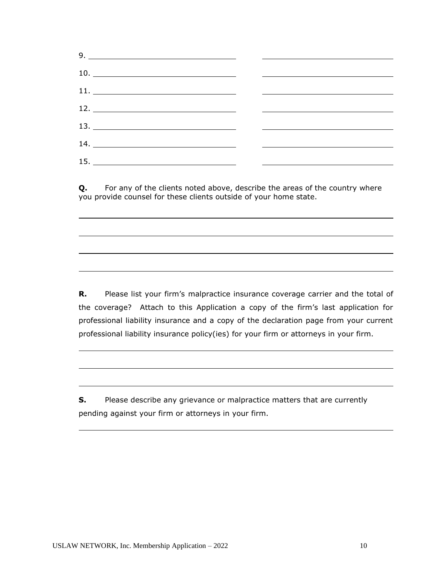| $9. \_ \_$ |  |
|------------|--|
|            |  |
|            |  |
| $12. \_$   |  |
|            |  |
|            |  |
|            |  |

**Q.** For any of the clients noted above, describe the areas of the country where you provide counsel for these clients outside of your home state.

**R.** Please list your firm's malpractice insurance coverage carrier and the total of the coverage? Attach to this Application a copy of the firm's last application for professional liability insurance and a copy of the declaration page from your current professional liability insurance policy(ies) for your firm or attorneys in your firm.

**S.** Please describe any grievance or malpractice matters that are currently pending against your firm or attorneys in your firm.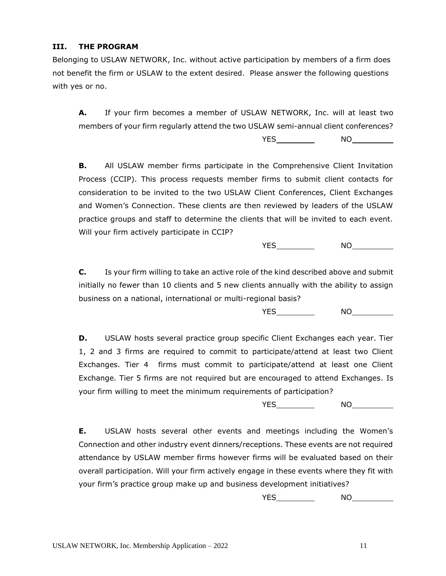## **III. THE PROGRAM**

Belonging to USLAW NETWORK, Inc. without active participation by members of a firm does not benefit the firm or USLAW to the extent desired. Please answer the following questions with yes or no.

**A.** If your firm becomes a member of USLAW NETWORK, Inc. will at least two members of your firm regularly attend the two USLAW semi-annual client conferences?

YES NO

**B.** All USLAW member firms participate in the Comprehensive Client Invitation Process (CCIP). This process requests member firms to submit client contacts for consideration to be invited to the two USLAW Client Conferences, Client Exchanges and Women's Connection. These clients are then reviewed by leaders of the USLAW practice groups and staff to determine the clients that will be invited to each event. Will your firm actively participate in CCIP?

YES NO

**C.** Is your firm willing to take an active role of the kind described above and submit initially no fewer than 10 clients and 5 new clients annually with the ability to assign business on a national, international or multi-regional basis?

YES NO

**D.** USLAW hosts several practice group specific Client Exchanges each year. Tier 1, 2 and 3 firms are required to commit to participate/attend at least two Client Exchanges. Tier 4 firms must commit to participate/attend at least one Client Exchange. Tier 5 firms are not required but are encouraged to attend Exchanges. Is your firm willing to meet the minimum requirements of participation?

YES NO

**E.** USLAW hosts several other events and meetings including the Women's Connection and other industry event dinners/receptions. These events are not required attendance by USLAW member firms however firms will be evaluated based on their overall participation. Will your firm actively engage in these events where they fit with your firm's practice group make up and business development initiatives?

YES NO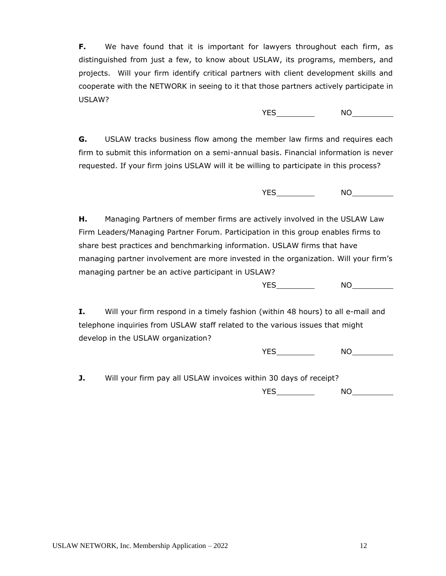**F.** We have found that it is important for lawyers throughout each firm, as distinguished from just a few, to know about USLAW, its programs, members, and projects. Will your firm identify critical partners with client development skills and cooperate with the NETWORK in seeing to it that those partners actively participate in USLAW?

YES NO

**G.** USLAW tracks business flow among the member law firms and requires each firm to submit this information on a semi-annual basis. Financial information is never requested. If your firm joins USLAW will it be willing to participate in this process?

YES NO

**H.** Managing Partners of member firms are actively involved in the USLAW Law Firm Leaders/Managing Partner Forum. Participation in this group enables firms to share best practices and benchmarking information. USLAW firms that have managing partner involvement are more invested in the organization. Will your firm's managing partner be an active participant in USLAW?

YES NO

**I.** Will your firm respond in a timely fashion (within 48 hours) to all e-mail and telephone inquiries from USLAW staff related to the various issues that might develop in the USLAW organization?

YES NO

**J.** Will your firm pay all USLAW invoices within 30 days of receipt? YES NO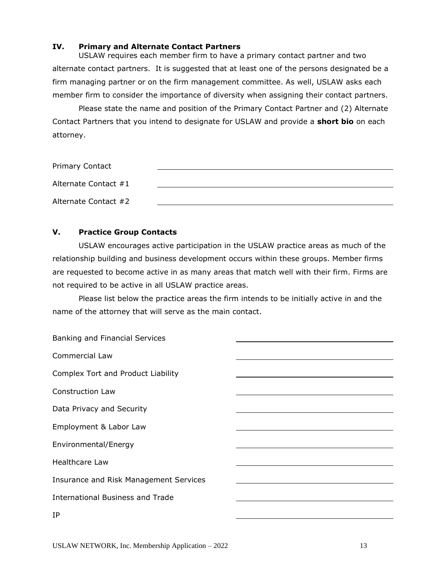## **IV. Primary and Alternate Contact Partners**

USLAW requires each member firm to have a primary contact partner and two alternate contact partners. It is suggested that at least one of the persons designated be a firm managing partner or on the firm management committee. As well, USLAW asks each member firm to consider the importance of diversity when assigning their contact partners.

Please state the name and position of the Primary Contact Partner and (2) Alternate Contact Partners that you intend to designate for USLAW and provide a **short bio** on each attorney.

| <b>Primary Contact</b> |  |
|------------------------|--|
| Alternate Contact #1   |  |
| Alternate Contact #2   |  |

## **V. Practice Group Contacts**

USLAW encourages active participation in the USLAW practice areas as much of the relationship building and business development occurs within these groups. Member firms are requested to become active in as many areas that match well with their firm. Firms are not required to be active in all USLAW practice areas.

Please list below the practice areas the firm intends to be initially active in and the name of the attorney that will serve as the main contact.

| Banking and Financial Services         |  |
|----------------------------------------|--|
| <b>Commercial Law</b>                  |  |
| Complex Tort and Product Liability     |  |
| <b>Construction Law</b>                |  |
| Data Privacy and Security              |  |
| Employment & Labor Law                 |  |
| Environmental/Energy                   |  |
| <b>Healthcare Law</b>                  |  |
| Insurance and Risk Management Services |  |
| International Business and Trade       |  |
| IP                                     |  |
|                                        |  |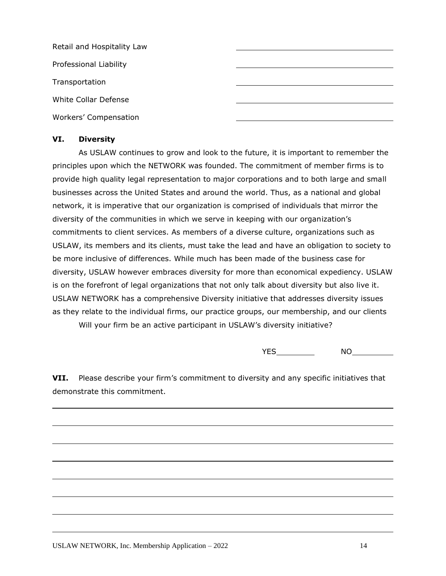| Retail and Hospitality Law |  |
|----------------------------|--|
| Professional Liability     |  |
| Transportation             |  |
| White Collar Defense       |  |
| Workers' Compensation      |  |

## **VI. Diversity**

As USLAW continues to grow and look to the future, it is important to remember the principles upon which the NETWORK was founded. The commitment of member firms is to provide high quality legal representation to major corporations and to both large and small businesses across the United States and around the world. Thus, as a national and global network, it is imperative that our organization is comprised of individuals that mirror the diversity of the communities in which we serve in keeping with our organization's commitments to client services. As members of a diverse culture, organizations such as USLAW, its members and its clients, must take the lead and have an obligation to society to be more inclusive of differences. While much has been made of the business case for diversity, USLAW however embraces diversity for more than economical expediency. USLAW is on the forefront of legal organizations that not only talk about diversity but also live it. USLAW NETWORK has a comprehensive Diversity initiative that addresses diversity issues as they relate to the individual firms, our practice groups, our membership, and our clients

Will your firm be an active participant in USLAW's diversity initiative?

YES NO

**VII.** Please describe your firm's commitment to diversity and any specific initiatives that demonstrate this commitment.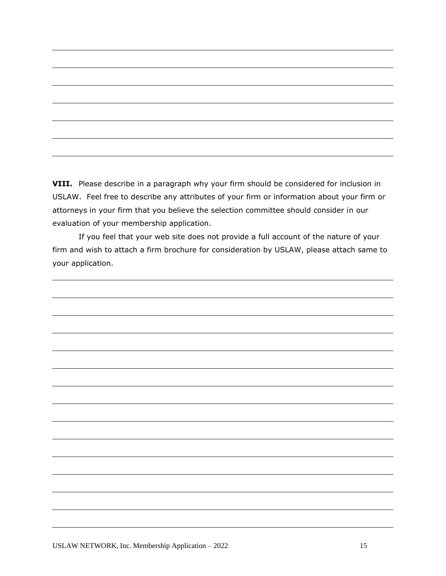**VIII.** Please describe in a paragraph why your firm should be considered for inclusion in USLAW. Feel free to describe any attributes of your firm or information about your firm or attorneys in your firm that you believe the selection committee should consider in our evaluation of your membership application.

If you feel that your web site does not provide a full account of the nature of your firm and wish to attach a firm brochure for consideration by USLAW, please attach same to your application.